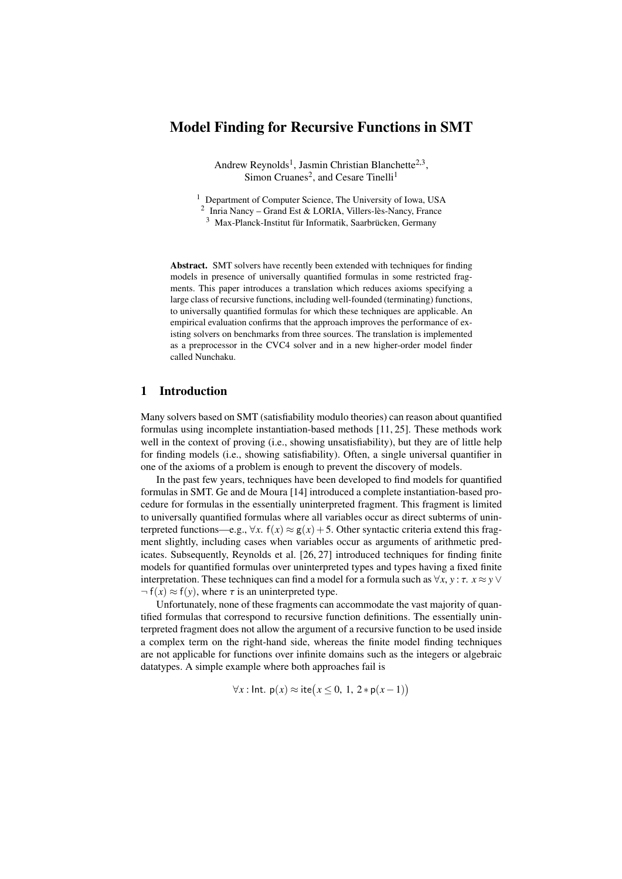# Model Finding for Recursive Functions in SMT

Andrew Reynolds<sup>1</sup>, Jasmin Christian Blanchette<sup>2,3</sup>, Simon Cruanes<sup>2</sup>, and Cesare Tinelli<sup>1</sup>

<sup>1</sup> Department of Computer Science, The University of Iowa, USA

2 Inria Nancy – Grand Est & LORIA, Villers-lès-Nancy, France

<sup>3</sup> Max-Planck-Institut für Informatik, Saarbrücken, Germany

Abstract. SMT solvers have recently been extended with techniques for finding models in presence of universally quantified formulas in some restricted fragments. This paper introduces a translation which reduces axioms specifying a large class of recursive functions, including well-founded (terminating) functions, to universally quantified formulas for which these techniques are applicable. An empirical evaluation confirms that the approach improves the performance of existing solvers on benchmarks from three sources. The translation is implemented as a preprocessor in the CVC4 solver and in a new higher-order model finder called Nunchaku.

# 1 Introduction

Many solvers based on SMT (satisfiability modulo theories) can reason about quantified formulas using incomplete instantiation-based methods [\[11,](#page-15-0) [25\]](#page-15-1). These methods work well in the context of proving (i.e., showing unsatisfiability), but they are of little help for finding models (i.e., showing satisfiability). Often, a single universal quantifier in one of the axioms of a problem is enough to prevent the discovery of models.

In the past few years, techniques have been developed to find models for quantified formulas in SMT. Ge and de Moura [\[14\]](#page-15-2) introduced a complete instantiation-based procedure for formulas in the essentially uninterpreted fragment. This fragment is limited to universally quantified formulas where all variables occur as direct subterms of uninterpreted functions—e.g.,  $\forall x$ .  $f(x) \approx g(x) + 5$ . Other syntactic criteria extend this fragment slightly, including cases when variables occur as arguments of arithmetic predicates. Subsequently, Reynolds et al. [\[26,](#page-15-3) [27\]](#page-15-4) introduced techniques for finding finite models for quantified formulas over uninterpreted types and types having a fixed finite interpretation. These techniques can find a model for a formula such as  $\forall x, y : \tau$ .  $x \approx y \vee \tau$  $\neg$  f(x)  $\approx$  f(y), where  $\tau$  is an uninterpreted type.

Unfortunately, none of these fragments can accommodate the vast majority of quantified formulas that correspond to recursive function definitions. The essentially uninterpreted fragment does not allow the argument of a recursive function to be used inside a complex term on the right-hand side, whereas the finite model finding techniques are not applicable for functions over infinite domains such as the integers or algebraic datatypes. A simple example where both approaches fail is

$$
\forall x : \mathsf{Int.}\; \mathsf{p}(x) \approx \mathsf{ite}\big(x \leq 0, \, 1, \, 2 * \mathsf{p}(x-1)\big)
$$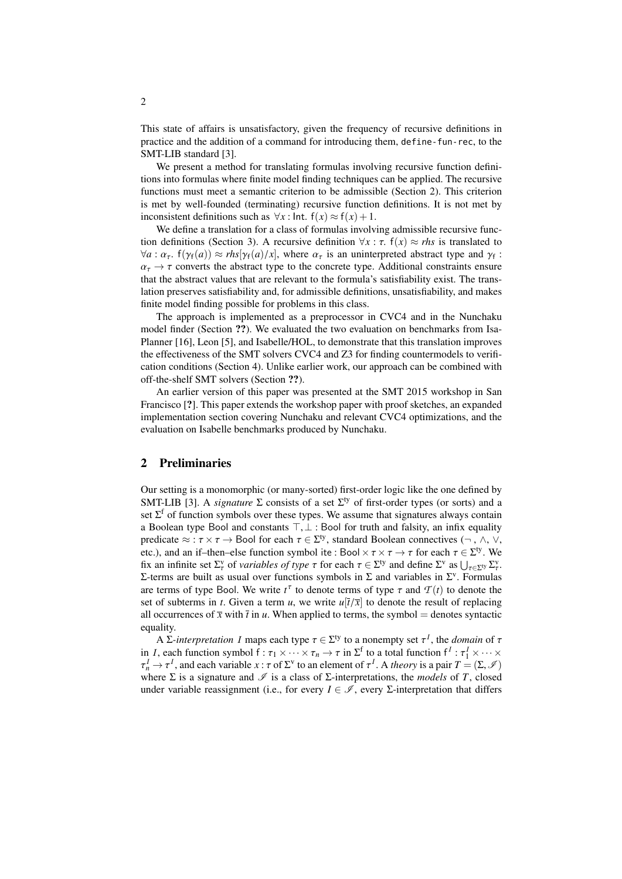This state of affairs is unsatisfactory, given the frequency of recursive definitions in practice and the addition of a command for introducing them, define-fun-rec, to the SMT-LIB standard [\[3\]](#page-14-0).

We present a method for translating formulas involving recursive function definitions into formulas where finite model finding techniques can be applied. The recursive functions must meet a semantic criterion to be admissible (Section [2\)](#page-1-0). This criterion is met by well-founded (terminating) recursive function definitions. It is not met by inconsistent definitions such as  $\forall x : \text{Int. } f(x) \approx f(x) + 1$ .

We define a translation for a class of formulas involving admissible recursive func-tion definitions (Section [3\)](#page-3-0). A recursive definition  $\forall x : \tau$ .  $f(x) \approx r$ *hs* is translated to  $\forall a : \alpha_{\tau}$ .  $f(\gamma_{f}(a)) \approx r \frac{1}{r} \left( \frac{\gamma_{f}(a)}{x} \right)$ , where  $\alpha_{\tau}$  is an uninterpreted abstract type and  $\gamma_{f}$ :  $\alpha_{\tau} \rightarrow \tau$  converts the abstract type to the concrete type. Additional constraints ensure that the abstract values that are relevant to the formula's satisfiability exist. The translation preserves satisfiability and, for admissible definitions, unsatisfiability, and makes finite model finding possible for problems in this class.

The approach is implemented as a preprocessor in CVC4 and in the Nunchaku model finder (Section ??). We evaluated the two evaluation on benchmarks from Isa-Planner [\[16\]](#page-15-5), Leon [\[5\]](#page-15-6), and Isabelle/HOL, to demonstrate that this translation improves the effectiveness of the SMT solvers CVC4 and Z3 for finding countermodels to verification conditions (Section [4\)](#page-8-0). Unlike earlier work, our approach can be combined with off-the-shelf SMT solvers (Section ??).

An earlier version of this paper was presented at the SMT 2015 workshop in San Francisco [?]. This paper extends the workshop paper with proof sketches, an expanded implementation section covering Nunchaku and relevant CVC4 optimizations, and the evaluation on Isabelle benchmarks produced by Nunchaku.

# <span id="page-1-0"></span>2 Preliminaries

Our setting is a monomorphic (or many-sorted) first-order logic like the one defined by SMT-LIB [\[3\]](#page-14-0). A *signature*  $\Sigma$  consists of a set  $\Sigma^{ty}$  of first-order types (or sorts) and a set  $\Sigma^f$  of function symbols over these types. We assume that signatures always contain a Boolean type Bool and constants  $\top$ ,  $\bot$  : Bool for truth and falsity, an infix equality predicate <sup>≈</sup> : τ <sup>×</sup> τ <sup>→</sup> Bool for each τ <sup>∈</sup> <sup>Σ</sup> ty, standard Boolean connectives (¬ , ∧, ∨, etc.), and an if–then–else function symbol ite : Bool  $\times \tau \times \tau \to \tau$  for each  $\tau \in \Sigma^{ty}$ . We<br>fix an infinite set  $\Sigma^{y}$  of *variables of type*  $\tau$  for each  $\tau \in \Sigma^{ty}$  and define  $\Sigma^{y}$  as  $| \cdot |_{\tau \sim \Sigma^{y}}$ fix an infinite set  $\Sigma_{\tau}^{\nu}$  of *variables of type*  $\tau$  for each  $\tau \in \Sigma^{\nu}$  and define  $\Sigma^{\nu}$  as  $\bigcup_{\tau \in \Sigma^{\nu}} \Sigma_{\tau}^{\nu}$ .<br>  $\Sigma$ -terms are built as usual over functions symbols in  $\Sigma$  and variables in  $\Sigma^{\nu}$ Σ-terms are built as usual over functions symbols in Σ and variables in  $\Sigma^{\nu}$ . Formulas are terms of type Bool. We write  $t^{\tau}$  to denote terms of type  $\tau$  and  $\mathcal{T}(t)$  to denote the set of subterms in t. Given a term  $u$ , we write  $u[\bar{t}/\bar{x}]$  to denote the result of replacing set of subterms in *t*. Given a term *u*, we write  $u[\overline{t}/\overline{x}]$  to denote the result of replacing all occurrences of  $\bar{x}$  with  $\bar{t}$  in *u*. When applied to terms, the symbol = denotes syntactic equality.

A Σ*-interpretation I* maps each type  $\tau \in \Sigma^{ty}$  to a nonempty set  $\tau^I$ , the *domain* of  $\tau$  and  $\tau^I$  to a total function  $f^I: \tau^I \times \cdots \times \tau$ in *I*, each function symbol  $f : \tau_1 \times \cdots \times \tau_n \to \tau$  in  $\Sigma^f$  to a total function  $f^I : \tau_1^I \times \cdots \times \tau_n^I \to \tau^I$ , and each variable  $x : \tau$  of  $\Sigma^v$  to an element of  $\tau^I$ . A *theory* is a pair  $T = (\Sigma, \mathcal{I})$  where  $\Sigma$  i where  $\Sigma$  is a signature and  $\mathcal{I}$  is a class of  $\Sigma$ -interpretations, the *models* of *T*, closed under variable reassignment (i.e., for every  $I \in \mathscr{I}$ , every  $\Sigma$ -interpretation that differs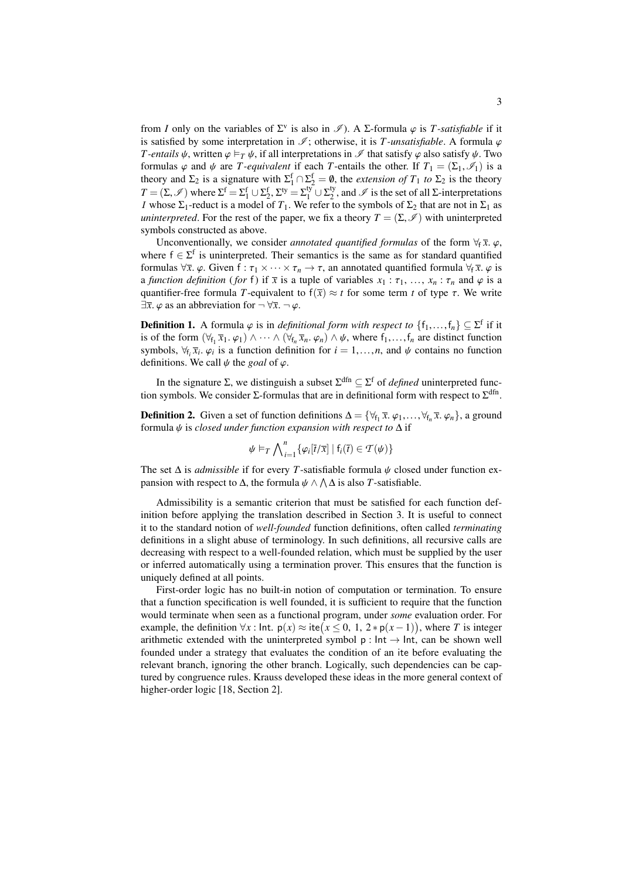from *I* only on the variables of  $\Sigma^v$  is also in  $\mathscr{I}$ ). A  $\Sigma$ -formula  $\varphi$  is *T*-satisfiable if it is estisfied by some interpretation in  $\mathscr{I}$ ; otherwise it is *T*-unsatisfiable. A formula *c* is satisfied by some interpretation in  $\mathcal{I}$ ; otherwise, it is *T*-unsatisfiable. A formula  $\varphi$ *T*-entails  $\psi$ , written  $\varphi \models_T \psi$ , if all interpretations in  $\mathscr I$  that satisfy  $\varphi$  also satisfy  $\psi$ . Two formulas  $\varphi$  and  $\psi$  are *T*-equivalent if each *T*-entails the other. If  $T_1 = (\Sigma_1, \mathscr{I}_1)$  is a theory and  $\Sigma_2$  is a signature with  $\Sigma_1^f \cap \Sigma_2^f = \emptyset$ , the *extension of*  $T_1$  to  $\Sigma_2$  is the theory  $T = (\Sigma, \mathscr{I})$  where  $\Sigma^f = \Sigma_1^f \cup \Sigma_2^f$ ,  $\Sigma_3^f = \Sigma_1^f \cup \Sigma_2^f$ <br>*L* whose  $\Sigma_1$  reduct is a model of *T*. We refer  $2^0$ , and  $\mathscr I$  is the set of all  $\Sigma$ -interpretations *I* whose  $\Sigma_1$ -reduct is a model of  $T_1$ . We refer to the symbols of  $\Sigma_2$  that are not in  $\Sigma_1$  as *uninterpreted*. For the rest of the paper, we fix a theory  $T = (\Sigma, \mathscr{I})$  with uninterpreted symbols constructed as above.

Unconventionally, we consider *annotated quantified formulas* of the form  $\forall f \overline{x}$ .  $\varphi$ , where  $f \in \Sigma^f$  is uninterpreted. Their semantics is the same as for standard quantified formulas  $\forall \bar{x}$ .  $\varphi$ . Given  $f : \tau_1 \times \cdots \times \tau_n \to \tau$ , an annotated quantified formula  $\forall_f \bar{x}$ .  $\varphi$  is a *function definition* (*for* f) if  $\bar{x}$  is a tuple of variables  $x_1 : \tau_1, \ldots, x_n : \tau_n$  and  $\varphi$  is a quantifier-free formula *T*-equivalent to  $f(\bar{x}) \approx t$  for some term *t* of type  $\tau$ . We write  $\exists \overline{x}$ .  $\varphi$  as an abbreviation for  $\neg \forall \overline{x}$ .  $\neg \varphi$ .

**Definition 1.** A formula  $\varphi$  is in *definitional form with respect to*  $\{f_1, \ldots, f_n\} \subseteq \Sigma^f$  if it is of the form  $(\forall \epsilon \ \overline{x}, \varphi) \wedge \cdots \wedge (\forall \epsilon \ \overline{x}, \varphi) \wedge \psi$  where fear distinct function is of the form  $(\forall f_1 \overline{x}_1 \ldots \varphi_1) \wedge \cdots \wedge (\forall f_n \overline{x}_n \ldots \varphi_n) \wedge \psi$ , where  $f_1, \ldots, f_n$  are distinct function<br>symbols  $\forall f \in \mathcal{F}$ .  $\varphi_1$  is a function definition for  $i = 1, \ldots, n$  and  $\psi$  contains no function symbols,  $\forall f_i \overline{x}_i$ .  $\varphi_i$  is a function definition for  $i = 1, ..., n$ , and  $\psi$  contains no function definitions. We call  $\psi$  the goal of  $\varphi$ . ϕ*i* definitions. We call  $\psi$  the *goal* of  $\varphi$ .

In the signature  $\Sigma$ , we distinguish a subset  $\Sigma^{\text{dfn}} \subseteq \Sigma^{\text{f}}$  of *defined* uninterpreted function symbols. We consider  $\Sigma$ -formulas that are in definitional form with respect to  $\Sigma^{\text{dfn}}$ .

**Definition 2.** Given a set of function definitions  $\Delta = {\forall f_1 \overline{x}, \varphi_1, ..., \forall f_n \overline{x}, \varphi_n}$ , a ground formula *ik* is closed under function expansion with respect to  $\Delta$  if formula ψ is *closed under function expansion with respect to* <sup>∆</sup> if

$$
\psi \vDash_T \bigwedge_{i=1}^n \{ \varphi_i[\bar{t}/\bar{x}] \mid f_i(\bar{t}) \in \mathcal{T}(\psi) \}
$$

The set  $\Delta$  is *admissible* if for every *T*-satisfiable formula  $\psi$  closed under function expansion with respect to  $\Delta$ , the formula  $\psi \wedge \Lambda \Delta$  is also *T*-satisfiable.

Admissibility is a semantic criterion that must be satisfied for each function definition before applying the translation described in Section [3.](#page-3-0) It is useful to connect it to the standard notion of *well-founded* function definitions, often called *terminating* definitions in a slight abuse of terminology. In such definitions, all recursive calls are decreasing with respect to a well-founded relation, which must be supplied by the user or inferred automatically using a termination prover. This ensures that the function is uniquely defined at all points.

<span id="page-2-0"></span>First-order logic has no built-in notion of computation or termination. To ensure that a function specification is well founded, it is sufficient to require that the function would terminate when seen as a functional program, under *some* evaluation order. For example, the definition  $\forall x : \text{Int. } p(x) \approx \text{ite}(x \leq 0, 1, 2 * p(x-1))$ , where *T* is integer<br>prithmetic extended with the uninterpreted symbol p : lpt  $\rightarrow$  lpt, can be shown well arithmetic extended with the uninterpreted symbol  $p : Int \rightarrow Int$ , can be shown well founded under a strategy that evaluates the condition of an ite before evaluating the relevant branch, ignoring the other branch. Logically, such dependencies can be captured by congruence rules. Krauss developed these ideas in the more general context of higher-order logic [\[18,](#page-15-7) Section 2].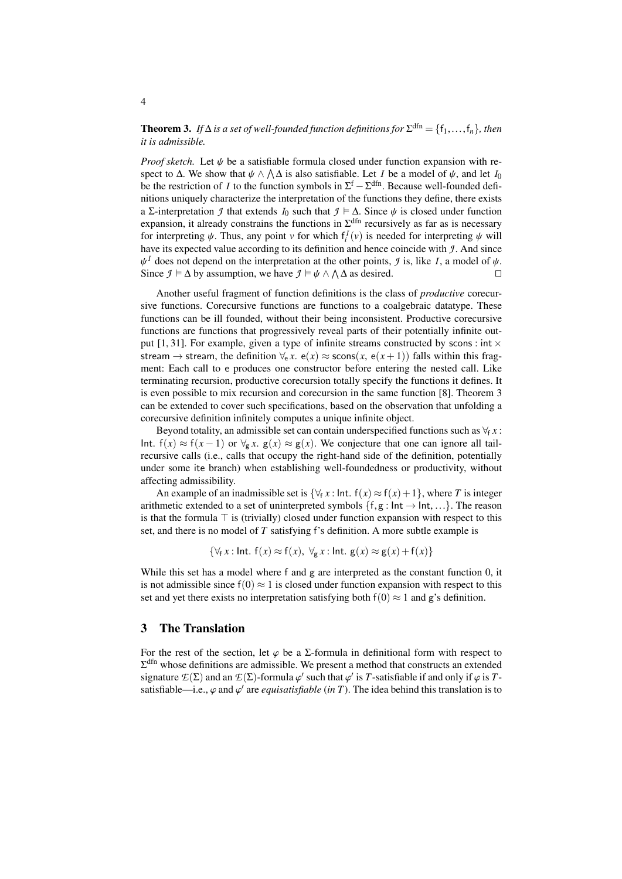**Theorem 3.** *If*  $\Delta$  *is a set of well-founded function definitions for*  $\Sigma^{\text{dfn}} = \{f_1, \ldots, f_n\}$ *, then it is admissible it is admissible.*

*Proof sketch.* Let  $\psi$  be a satisfiable formula closed under function expansion with respect to  $\Delta$ . We show that  $\psi \wedge \Lambda \Delta$  is also satisfiable. Let *I* be a model of  $\psi$ , and let *I*<sub>0</sub> be the restriction of *I* to the function symbols in  $\Sigma^f - \Sigma^{dfn}$ . Because well-founded defibe the restriction of *I* to the function symbols in  $\Sigma^{\text{f}} - \Sigma^{\text{dfn}}$ . Because well-founded definitions uniquely characterize the interpretation of the functions they define, there exists a Σ-interpretation *J* that extends *I*<sub>0</sub> such that  $\mathcal{I} \models \Delta$ . Since  $\psi$  is closed under function expansion, it already constrains the functions in  $\Sigma^{\text{dfn}}$  recursively as far as is necessary for interpreting  $\psi$ . Thus, any point *v* for which  $f_i^I(v)$  is needed for interpreting  $\psi$  will<br>have its expected value according to its definition and hence coincide with *1*. And since have its expected value according to its definition and hence coincide with *J*. And since Since  $\mathcal{I} \models \Delta$  by assumption, we have  $\mathcal{I} \models \psi \land \bigwedge \Delta$  as desired.  $\psi^I$  does not depend on the interpretation at the other points, *J* is, like *I*, a model of  $\psi$ .<br>Since  $I \models \Delta$  by assumption we have  $I \models \psi \land \Delta \Delta$  as desired

Another useful fragment of function definitions is the class of *productive* corecursive functions. Corecursive functions are functions to a coalgebraic datatype. These functions can be ill founded, without their being inconsistent. Productive corecursive functions are functions that progressively reveal parts of their potentially infinite out-put [\[1,](#page-14-1) [31\]](#page-16-0). For example, given a type of infinite streams constructed by scons : int  $\times$ stream  $\rightarrow$  stream, the definition  $\forall_{e}$  *x*. e(*x*)  $\approx$  scons(*x*, e(*x*+1)) falls within this fragment: Each call to e produces one constructor before entering the nested call. Like terminating recursion, productive corecursion totally specify the functions it defines. It is even possible to mix recursion and corecursion in the same function [\[8\]](#page-15-8). Theorem [3](#page-2-0) can be extended to cover such specifications, based on the observation that unfolding a corecursive definition infinitely computes a unique infinite object.

Beyond totality, an admissible set can contain underspecified functions such as  $\forall f$  *x* : Int.  $f(x) \approx f(x-1)$  or  $\forall g \cdot x$ .  $g(x) \approx g(x)$ . We conjecture that one can ignore all tailrecursive calls (i.e., calls that occupy the right-hand side of the definition, potentially under some ite branch) when establishing well-foundedness or productivity, without affecting admissibility.

An example of an inadmissible set is  $\{\forall f \in \mathcal{X} : \text{Int. } f(x) \approx f(x) + 1\}$ , where *T* is integer arithmetic extended to a set of uninterpreted symbols  $\{f, g : \text{Int} \rightarrow \text{Int}, ...\}$ . The reason is that the formula  $\top$  is (trivially) closed under function expansion with respect to this set, and there is no model of *T* satisfying f's definition. A more subtle example is

$$
\{\forall_{f} x : \text{Int. } f(x) \approx f(x), \ \forall_{g} x : \text{Int. } g(x) \approx g(x) + f(x)\}
$$

While this set has a model where f and g are interpreted as the constant function 0, it is not admissible since  $f(0) \approx 1$  is closed under function expansion with respect to this set and yet there exists no interpretation satisfying both  $f(0) \approx 1$  and g's definition.

# <span id="page-3-0"></span>3 The Translation

For the rest of the section, let  $\varphi$  be a  $\Sigma$ -formula in definitional form with respect to  $\Sigma^{\text{dfn}}$  whose definitions are admissible. We present a method that constructs an extended signature  $E(\Sigma)$  and an  $E(\Sigma)$ -formula  $\varphi'$  such that  $\varphi'$  is *T*-satisfiable if and only if  $\varphi$  is *T*-<br>satisfiable—i.e.  $\varphi$  and  $\varphi'$  are equivatisfiable (in *T*). The idea behind this translation is to satisfiable—i.e.,  $\varphi$  and  $\varphi'$  are *equisatisfiable* (*in T*). The idea behind this translation is to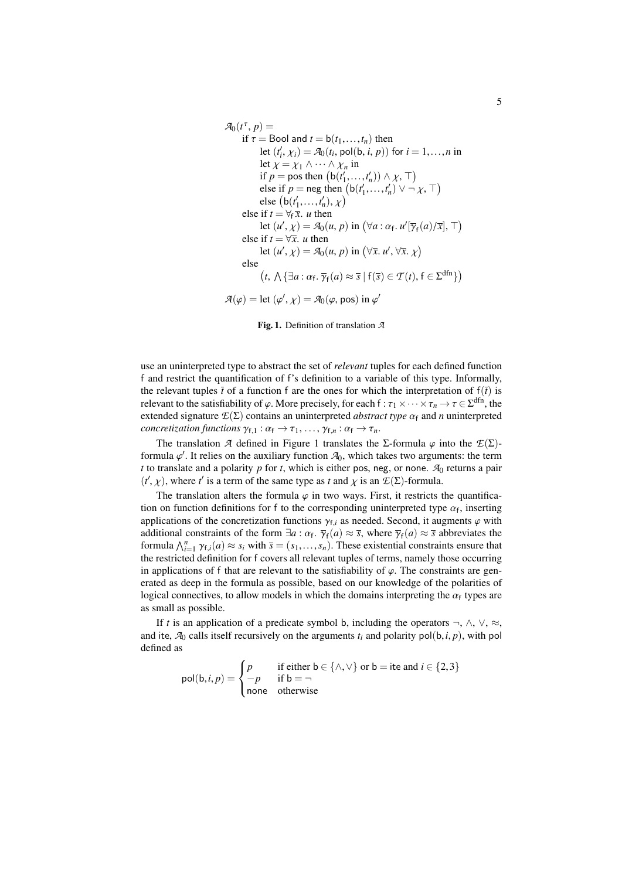$$
\mathcal{A}_0(t^{\tau}, p) =
$$
\nif  $\tau$  = Bool and  $t$  = b( $t_1, ..., t_n$ ) then  
\nlet ( $t'_i$ ,  $\chi_i$ ) =  $\mathcal{A}_0(t_i, \text{pol}(b, i, p))$  for  $i$  = 1, ..., *n* in  
\nlet  $\chi$  =  $\chi_1 \land \cdots \land \chi_n$  in  
\nif  $p$  = pos then (b( $t'_1, ..., t'_n$ ))  $\land \chi$ ,  $\top$ )  
\nelse if  $p$  = neg then (b( $t'_1, ..., t'_n$ )  $\lor \neg \chi$ ,  $\top$ )  
\nelse (b( $t'_1, ..., t'_n$ ),  $\chi$ )  
\nelse if  $t = \forall_t \overline{x}$ . *u* then  
\nlet ( $u', \chi$ ) =  $\mathcal{A}_0(u, p)$  in ( $\forall a : \alpha_t$ .  $u'[\overline{\gamma}_f(a)/\overline{x}]$ ,  $\top$ )  
\nelse if  $t = \forall \overline{x}$ . *u* then  
\nlet ( $u', \chi$ ) =  $\mathcal{A}_0(u, p)$  in ( $\forall \overline{x}$ .  $u', \forall \overline{x}$ .  $\chi$ )  
\nelse  
\n $(t, \Lambda \{\exists a : \alpha_t, \overline{\gamma}_f(a) \approx \overline{s} \mid f(\overline{s}) \in \mathcal{T}(t), f \in \Sigma^{dfn}\})$   
\n $\mathcal{A}(\varphi)$  = let ( $\varphi', \chi$ ) =  $\mathcal{A}_0(\varphi, \text{pos})$  in  $\varphi'$ 

<span id="page-4-0"></span>Fig. 1. Definition of translation *A*

use an uninterpreted type to abstract the set of *relevant* tuples for each defined function f and restrict the quantification of f's definition to a variable of this type. Informally, the relevant tuples  $\bar{t}$  of a function f are the ones for which the interpretation of  $f(\bar{t})$  is relevant to the satisfiability of  $\varphi$ . More precisely, for each  $f : \tau_1 \times \cdots \times \tau_n \to \tau \in \Sigma^{\text{dfn}}$ , the extended signature  $\mathcal{F}(\Sigma)$  contains an uninterpreted *abstract type*  $\alpha_i$  and *n* uninterpreted extended signature  $E(\Sigma)$  contains an uninterpreted *abstract type*  $\alpha_f$  and *n* uninterpreted *concretization functions*  $\gamma_{f,1} : \alpha_f \to \tau_1, \ldots, \gamma_{f,n} : \alpha_f \to \tau_n$ .

The translation *A* defined in Figure [1](#page-4-0) translates the Σ-formula  $\varphi$  into the  $\mathcal{E}(\Sigma)$ formula  $\varphi'$ . It relies on the auxiliary function  $\mathcal{A}_0$ , which takes two arguments: the term<br>t to translate and a polarity *n* for t, which is either position or none.  $\mathcal{A}_0$  returns a pair *t* to translate and a polarity  $p$  for  $t$ , which is either pos, neg, or none.  $A_0$  returns a pair  $(t', \chi)$ , where *t*<sup>*'*</sup> is a term of the same type as *t* and  $\chi$  is an  $E(\Sigma)$ -formula.

The translation alters the formula  $\varphi$  in two ways. First, it restricts the quantification on function definitions for f to the corresponding uninterpreted type  $\alpha_f$ , inserting<br>applications of the concretization functions  $\alpha_f$ , as needed. Second, it augments  $\alpha$  with applications of the concretization functions  $\gamma_{f,i}$  as needed. Second, it augments  $\varphi$  with additional constraints of the form  $\exists a : \alpha_f$ ,  $\overline{\gamma}_f(a) \approx \overline{s}$ , where  $\overline{\gamma}_f(a) \approx \overline{s}$  abbreviates the formula  $\Lambda^n$ ,  $\chi_g(a) \approx s$ , with  $\overline{s} = (s, s)$ . These existential constraints ensure that  $\lim_{n \to \infty} \int_{i=1}^{n} \gamma_{f,i}(a) \approx s_i$  with  $\overline{s} = (s_1, \ldots, s_n)$ . These existential constraints ensure that the restricted definition for f covers all relevant tuples of terms, namely those occurring the restricted definition for f covers all relevant tuples of terms, namely those occurring in applications of f that are relevant to the satisfiability of  $\varphi$ . The constraints are generated as deep in the formula as possible, based on our knowledge of the polarities of logical connectives, to allow models in which the domains interpreting the  $\alpha_f$  types are<br>as small as possible as small as possible.

If *t* is an application of a predicate symbol b, including the operators  $\neg$ ,  $\wedge$ ,  $\vee$ ,  $\approx$ , and ite,  $A_0$  calls itself recursively on the arguments  $t_i$  and polarity pol(b,*i*, *p*), with pol defined as

$$
pol(b, i, p) = \begin{cases} p & \text{if either } b \in \{\land, \lor\} \text{ or } b = \text{ite and } i \in \{2, 3\} \\ -p & \text{if } b = \neg \\ \text{none} & \text{otherwise} \end{cases}
$$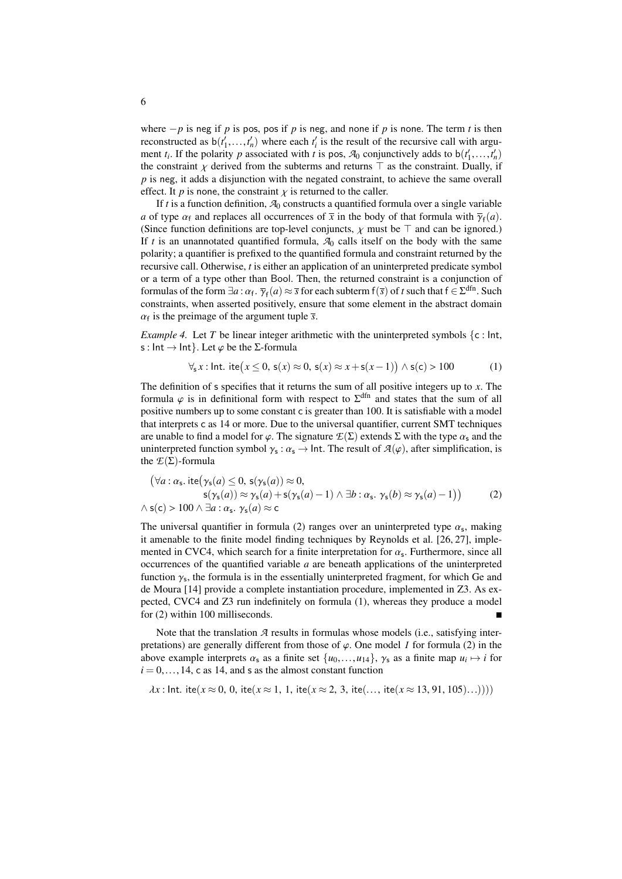where  $-p$  is neg if *p* is pos, pos if *p* is neg, and none if *p* is none. The term *t* is then reconstructed as  $b(t'_1,...,t'_n)$  where each  $t'_i$  is the result of the recursive call with argu-<br>ment *t*. If the polarity *n* associated with *t* is pos. Ze conjunctively adds to  $b(t'_i, t'_i)$ ment *t<sub>i</sub>*. If the polarity *p* associated with *t* is pos,  $A_0$  conjunctively adds to  $b(t'_1,...,t'_n)$ <br>the constraint  $\chi$  derived from the subterms and returns  $\top$  as the constraint Dually if the constraint  $\chi$  derived from the subterms and returns  $\top$  as the constraint. Dually, if *p* is neg, it adds a disjunction with the negated constraint, to achieve the same overall effect. It *p* is none, the constraint  $\chi$  is returned to the caller.

If *t* is a function definition,  $A_0$  constructs a quantified formula over a single variable *a* of type  $\alpha_f$  and replaces all occurrences of  $\bar{x}$  in the body of that formula with  $\bar{\gamma}_f(a)$ .<br>(Since function definitions are ton-level conjuncts,  $\nu$  must be  $\bar{\gamma}$  and can be ignored) (Since function definitions are top-level conjuncts,  $\chi$  must be  $\top$  and can be ignored.) If  $t$  is an unannotated quantified formula,  $A_0$  calls itself on the body with the same polarity; a quantifier is prefixed to the quantified formula and constraint returned by the recursive call. Otherwise, *t* is either an application of an uninterpreted predicate symbol or a term of a type other than Bool. Then, the returned constraint is a conjunction of formulas of the form  $\exists a : \alpha_f$ .  $\overline{\gamma}_f(a) \approx \overline{s}$  for each subterm  $f(\overline{s})$  of *t* such that  $f \in \Sigma^{dfn}$ . Such constraints, when asserted positively ensure that some element in the abstract domain Formulas of the form  $\exists a$ .  $\alpha_f$ ,  $\gamma_f(a) \approx s$  for each subtempt (s) of *t* such that  $1 \in \mathbb{Z}$ . Such constraints, when asserted positively, ensure that some element in the abstract domain  $\alpha_f$  is the preimage of the argument tuple  $\bar{s}$ .

<span id="page-5-2"></span>*Example 4.* Let *T* be linear integer arithmetic with the uninterpreted symbols  $\{c : \text{Int},\}$ s : Int  $\rightarrow$  Int }. Let  $\varphi$  be the *Σ*-formula

<span id="page-5-1"></span>
$$
\forall_{s} x : \text{Int.} \text{ite}(x \leq 0, s(x) \approx 0, s(x) \approx x + s(x - 1)) \land s(c) > 100
$$
 (1)

The definition of s specifies that it returns the sum of all positive integers up to *x*. The formula  $\varphi$  is in definitional form with respect to  $\Sigma^{\text{dfn}}$  and states that the sum of all nositive numbers up to some constant  $\epsilon$  is greater than 100. It is satisfiable with a model positive numbers up to some constant c is greater than 100. It is satisfiable with a model that interprets c as 14 or more. Due to the universal quantifier, current SMT techniques are unable to find a model for  $\varphi$ . The signature  $\mathcal{E}(\Sigma)$  extends  $\Sigma$  with the type  $\alpha_s$  and the uninterpreted function symbol  $\gamma_s : \alpha_s \to \text{Int.}$  The result of  $\mathcal{A}(\varphi)$ , after simplification, is the  $\mathcal{F}(\Sigma)$ -formula the  $E(\Sigma)$ -formula

<span id="page-5-0"></span>
$$
(\forall a: \alpha_{s}. \text{ite}(\gamma_{s}(a) \leq 0, s(\gamma_{s}(a)) \approx 0,s(\gamma_{s}(a)) \approx \gamma_{s}(a) + s(\gamma_{s}(a) - 1) \land \exists b: \alpha_{s}. \gamma_{s}(b) \approx \gamma_{s}(a) - 1))
$$
  
 
$$
\land s(c) > 100 \land \exists a: \alpha_{s}. \gamma_{s}(a) \approx c
$$
 (2)

The universal quantifier in formula [\(2\)](#page-5-0) ranges over an uninterpreted type  $\alpha_s$ , making<br>it amenable to the finite model finding techniques by Reynolds et al. [26, 27], impleit amenable to the finite model finding techniques by Reynolds et al. [\[26,](#page-15-3) [27\]](#page-15-4), implemented in CVC4, which search for a finite interpretation for  $\alpha_s$ . Furthermore, since all occurrences of the quantified variable  $\alpha$  are beneath applications of the uninterpreted occurrences of the quantified variable *a* are beneath applications of the uninterpreted function  $\gamma_s$ , the formula is in the essentially uninterpreted fragment, for which Ge and  $\gamma_s$ . As example to  $\gamma_s$  and  $\gamma_s$ de Moura [\[14\]](#page-15-2) provide a complete instantiation procedure, implemented in Z3. As expected, CVC4 and Z3 run indefinitely on formula [\(1\)](#page-5-1), whereas they produce a model for [\(2\)](#page-5-0) within 100 milliseconds.

Note that the translation *A* results in formulas whose models (i.e., satisfying interpretations) are generally different from those of  $\varphi$ . One model *I* for formula [\(2\)](#page-5-0) in the above example interprets  $\alpha_s$  as a finite set  $\{u_0, \ldots, u_{14}\}$ ,  $\gamma_s$  as a finite map  $u_i \mapsto i$  for  $i = 0$  and  $s$  as the almost constant function  $i = 0, \ldots, 14$ , c as 14, and s as the almost constant function

$$
\lambda x
$$
: Int. ite( $x \approx 0, 0$ , ite( $x \approx 1, 1$ , ite( $x \approx 2, 3$ , ite(..., ite( $x \approx 13, 91, 105$ )...))))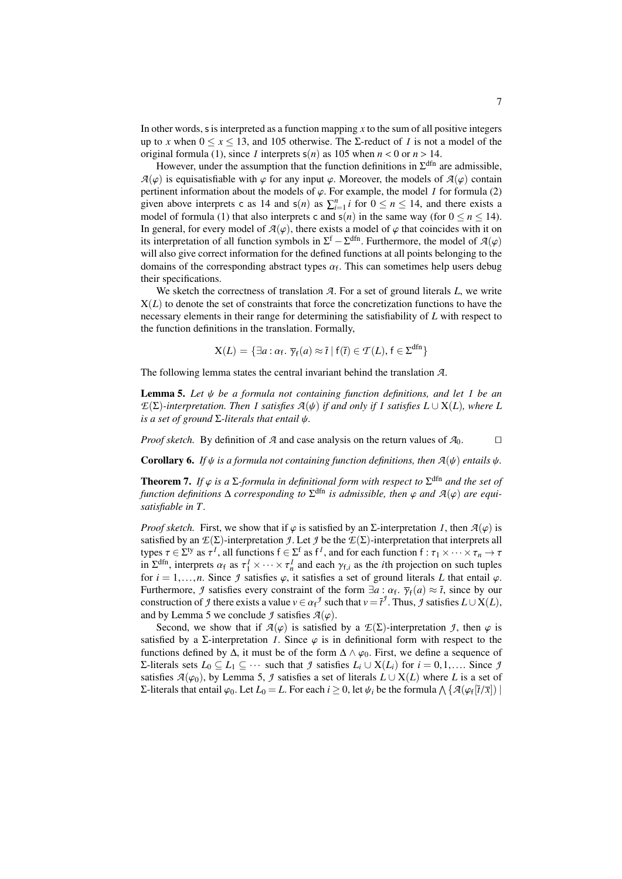In other words, s is interpreted as a function mapping *x* to the sum of all positive integers up to *x* when  $0 \le x \le 13$ , and 105 otherwise. The  $\Sigma$ -reduct of *I* is not a model of the original formula [\(1\)](#page-5-1), since *I* interprets  $s(n)$  as 105 when  $n < 0$  or  $n > 14$ .

However, under the assumption that the function definitions in  $\Sigma^{\text{dfn}}$  are admissible,  $A(\varphi)$  is equisatisfiable with  $\varphi$  for any input  $\varphi$ . Moreover, the models of  $A(\varphi)$  contain pertinent information about the models of  $\varphi$ . For example, the model *I* for formula [\(2\)](#page-5-0) given above interprets c as 14 and  $s(n)$  as  $\sum_{i=1}^{n} i$  for  $0 \le n \le 14$ , and there exists a model of formula [\(1\)](#page-5-1) that also interprets c and  $s(n)$  in the same way (for  $0 \le n \le 14$ ). In general, for every model of  $A(\varphi)$ , there exists a model of  $\varphi$  that coincides with it on its interpretation of all function symbols in  $\Sigma^f - \Sigma^{dfn}$ . Furthermore, the model of  $\mathcal{A}(\varphi)$  will also give correct information for the defined functions at all points belonging to the will also give correct information for the defined functions at all points belonging to the domains of the corresponding abstract types  $\alpha_f$ . This can sometimes help users debug<br>their specifications their specifications.

We sketch the correctness of translation *A*. For a set of ground literals *L*, we write  $X(L)$  to denote the set of constraints that force the concretization functions to have the necessary elements in their range for determining the satisfiability of *L* with respect to the function definitions in the translation. Formally,

$$
X(L) = \{ \exists a : \alpha_f, \overline{\gamma}_f(a) \approx \overline{t} \mid f(\overline{t}) \in \mathcal{T}(L), f \in \Sigma^{\text{dfn}} \}
$$

<span id="page-6-0"></span>The following lemma states the central invariant behind the translation *A*.

Lemma 5. *Let* ψ *be a formula not containing function definitions, and let <sup>I</sup> be an*  $E(\Sigma)$ -interpretation. Then *I* satisfies  $A(\psi)$  if and only if *I* satisfies  $L \cup X(L)$ , where *L is a set of ground* <sup>Σ</sup>*-literals that entail* ψ*.*

*Proof sketch.* By definition of  $\mathcal A$  and case analysis on the return values of  $\mathcal A_0$ .

<span id="page-6-1"></span>**Corollary 6.** *If*  $\psi$  *is a formula not containing function definitions, then*  $A(\psi)$  *entails*  $\psi$ *.* 

<span id="page-6-2"></span>**Theorem 7.** *If*  $\varphi$  *is a*  $\Sigma$ *-formula in definitional form with respect to*  $\Sigma^{\text{dfn}}$  *and the set of function definitions* A corresponding to  $\Sigma^{\text{dfn}}$  *is admissible, then*  $\varphi$  and  $\mathcal{A}(\varphi)$  are equi*function definitions*  $\Delta$  *corresponding to*  $\Sigma^{\text{dfn}}$  *is admissible, then*  $\varphi$  *and*  $\mathcal{A}(\varphi)$  *are equi-*<br>satisfiable in T *satisfiable in T.*

*Proof sketch.* First, we show that if  $\varphi$  is satisfied by an  $\Sigma$ -interpretation *I*, then  $\mathcal{A}(\varphi)$  is satisfied by an  $E(\Sigma)$ -interpretation *J*. Let *J* be the  $E(\Sigma)$ -interpretation that interprets all types  $\tau \in \Sigma^{ty}$  as  $\tau^I$ , all functions  $f \in \Sigma^f$  as  $f^I$ , and for each function  $f : \tau_1 \times \cdots \times \tau_n \to \tau$ <br>in  $\Sigma^{dfn}$  interprets  $\alpha_{\xi}$  as  $\tau^I \times \cdots \times \tau^I$  and each  $\alpha_{\xi}$  as the *i*th projection on such tuples in  $\Sigma^{\text{dfn}}$ , interprets  $\alpha_f$  as  $\tau_1^I \times \cdots \times \tau_n^I$  and each  $\gamma_{f,i}$  as the *i*<sup>th</sup> projection on such tuples<br>for  $i-1$  and  $\gamma_{f,i}$  as the *i*<sup>t</sup> satisfies a set of ground literals *I* that entail  $\alpha$ for  $i = 1, \ldots, n$ . Since *J* satisfies  $\varphi$ , it satisfies a set of ground literals *L* that entail  $\varphi$ . Furthermore, *J* satisfies every constraint of the form  $\exists a : \alpha_f$ .  $\overline{\gamma}_f(a) \approx \overline{t}$ , since by our construction of *I* there exists a value  $y \in \alpha^J$  such that  $y = \overline{t}^J$ . Thus *I* satisfies  $I \cup X(I)$ t and by *J* emma 5 we conclude *1* satisfies  $\mathcal{A}(a)$ <br>and by *J* emma 5 we conclude *1* satisfies  $\mathcal{A}(a)$ . and by Lemma [5](#page-6-0) we conclude *J* satisfies  $A(\varphi)$ .

Second, we show that if  $\mathcal{A}(\varphi)$  is satisfied by a  $\mathcal{E}(\Sigma)$ -interpretation *J*, then  $\varphi$  is satisfied by a  $\Sigma$ -interpretation *I*. Since  $\varphi$  is in definitional form with respect to the functions defined by  $\Delta$ , it must be of the form  $\Delta \wedge \varphi_0$ . First, we define a sequence of Σ-literals sets *L*<sub>0</sub> ⊆ *L*<sub>1</sub> ⊆ ··· such that *J* satisfies *L<sub>i</sub>* ∪ X(*L<sub>i</sub>*) for *i* = 0,1,.... Since *J* satisfies  $A(\varphi_0)$ , by Lemma [5,](#page-6-0) *J* satisfies a set of literals  $L \cup X(L)$  where *L* is a set of  $Σ$ -literals that entail  $φ_0$ . Let  $L_0 = L$ . For each  $i ≥ 0$ , let  $ψ_i$  be the formula  $∧$  { $\mathcal{A}(φ_f[i/\overline{x}])$  |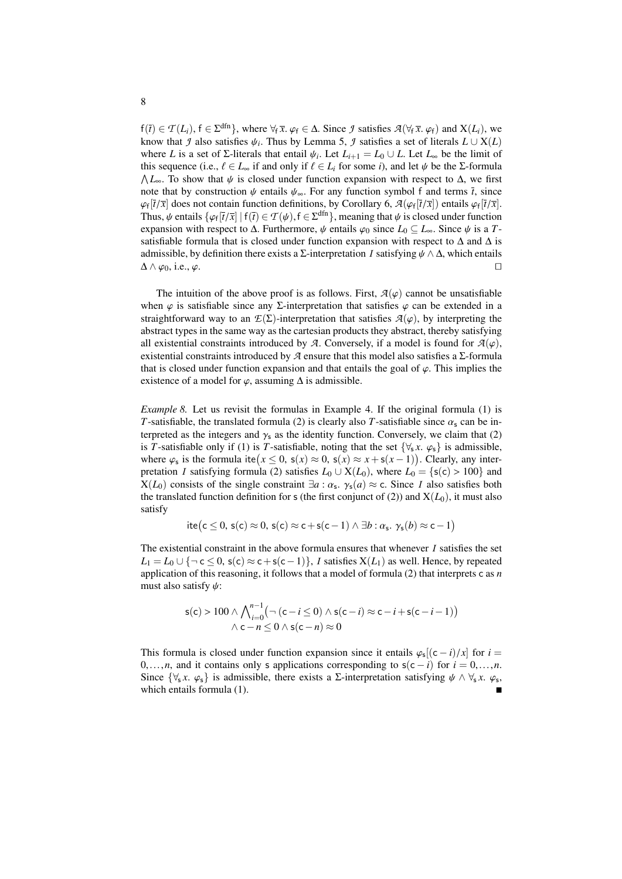$f(\bar{t}) \in \mathcal{T}(L_i)$ ,  $f \in \Sigma^{\text{dfn}}$ , where  $\forall f \bar{x}$ .  $\varphi_f \in \Delta$ . Since *J* satisfies  $\mathcal{A}(\forall f \bar{x}, \varphi_f)$  and  $X(L_i)$ , we know that *J* also satisfies *M*. Thus by Lemma 5, *J* satisfies a set of literals  $I \cup X(I)$ know that *J* also satisfies  $\psi_i$ . Thus by Lemma [5,](#page-6-0) *J* satisfies a set of literals  $L \cup X(L)$ <br>where *L* is a set of  $\Sigma$ -literals that entail  $\psi_i$ . Let  $L_{i+1} = L_0 + L$  Let *L* be the limit of where *L* is a set of  $\Sigma$ -literals that entail  $\psi_i$ . Let  $L_{i+1} = L_0 \cup L$ . Let  $L_{\infty}$  be the limit of this sequence (i.e.  $f \in I$ , if and only if  $f \in I$ , for some *i*) and let  $\psi$  be the  $\Sigma$ -formula this sequence (i.e.,  $\ell \in L_{\infty}$  if and only if  $\ell \in L_i$  for some *i*), and let  $\psi$  be the Σ-formula  $\Lambda L_{\infty}$ . To show that  $\psi$  is closed under function expansion with respect to  $\Delta$ , we first note that by construction  $\psi$  entails  $\psi$ . For any function symbol f and terms  $\bar{t}$  since note that by construction  $\psi$  entails  $\psi_{\infty}$ . For any function symbol f and terms  $\bar{t}$ , since  $\varphi_f[t/X]$  does not contain function definitions, by Corollary 6,  $\mathcal{A}(\varphi_f[t/X])$  entails  $\varphi_f[t/X]$ .<br>Thus,  $\psi$  entails  $\{\varphi_f[\overline{t}/\overline{x}] \mid f(\overline{t}) \in \mathcal{T}(\psi), f \in \Sigma^{\text{dfn}}\}$ , meaning that  $\psi$  is closed under function<br>expans  $[\bar{t}/\bar{x}]$  does not contain function definitions, by Corollary [6,](#page-6-1)  $\mathcal{A}(\varphi_f[\bar{t}/\bar{x}])$  entails  $\varphi_f[\bar{t}/\bar{x}]$ . expansion with respect to  $\Delta$ . Furthermore,  $\psi$  entails  $\varphi_0$  since  $L_0 \subseteq L_{\infty}$ . Since  $\psi$  is a *T*satisfiable formula that is closed under function expansion with respect to  $\Delta$  and  $\Delta$  is admissible, by definition there exists a Σ-interpretation *I* satisfying  $\psi \land \Delta$ , which entails  $\Delta \land \varphi_0$ , i.e.,  $\varphi$ . □  $\Delta \wedge \varphi_0$ , i.e.,  $\varphi$ .

The intuition of the above proof is as follows. First,  $A(\varphi)$  cannot be unsatisfiable when  $\varphi$  is satisfiable since any Σ-interpretation that satisfies  $\varphi$  can be extended in a straightforward way to an  $E(\Sigma)$ -interpretation that satisfies  $A(\varphi)$ , by interpreting the abstract types in the same way as the cartesian products they abstract, thereby satisfying all existential constraints introduced by *A*. Conversely, if a model is found for  $A(\varphi)$ , existential constraints introduced by  $A$  ensure that this model also satisfies a  $\Sigma$ -formula that is closed under function expansion and that entails the goal of  $\varphi$ . This implies the existence of a model for  $\varphi$ , assuming  $\Delta$  is admissible.

*Example 8.* Let us revisit the formulas in Example [4.](#page-5-2) If the original formula [\(1\)](#page-5-1) is *T*-satisfiable, the translated formula [\(2\)](#page-5-0) is clearly also *T*-satisfiable since  $\alpha_s$  can be interpreted as the integers and  $\gamma_s$  as the identity function. Conversely, we claim that [\(2\)](#page-5-0) is *T*-satisfiable only if [\(1\)](#page-5-1) is *T*-satisfiable, noting that the set  $\{\forall_s x. \varphi_s\}$  is admissible, where  $\varphi_s$  is the formula ite $(x \le 0, s(x) \approx 0, s(x) \approx x + s(x-1))$ . Clearly, any inter-<br>pretation *I* satisfying formula (2) satisfies  $I_0 + X(I_0)$  where  $I_0 - \{s(s) > 100\}$  and pretation *I* satisfying formula [\(2\)](#page-5-0) satisfies  $L_0 \cup X(L_0)$ , where  $L_0 = \{s(c) > 100\}$  and  $X(L_0)$  consists of the single constraint  $\exists a : \alpha_s$ ,  $\gamma_s(a) \approx c$ . Since *I* also satisfies both the translated function definition for *s* (the first conjunct of (2)) and  $X(L_0)$  it must also the translated function definition for s (the first conjunct of [\(2\)](#page-5-0)) and  $X(L_0)$ , it must also satisfy

$$
ite(c \leq 0, s(c) \approx 0, s(c) \approx c + s(c - 1) \land \exists b : \alpha_s, \gamma_s(b) \approx c - 1)
$$

The existential constraint in the above formula ensures that whenever *I* satisfies the set  $L_1 = L_0 \cup \{\neg \text{ c} \leq 0, \text{ s}(c) \approx \text{ c} + \text{ s}(c-1)\},$  *I* satisfies  $X(L_1)$  as well. Hence, by repeated application of this reasoning, it follows that a model of formula [\(2\)](#page-5-0) that interprets c as *n* must also satisfy  $\psi$ :

$$
s(c) > 100 \wedge \bigwedge_{i=0}^{n-1} \left( \neg (c - i \le 0) \wedge s(c - i) \approx c - i + s(c - i - 1) \right) \wedge c - n \le 0 \wedge s(c - n) \approx 0
$$

This formula is closed under function expansion since it entails  $\varphi_s[(c-i)/x]$  for  $i = 0$ <br>for *i* and it contains only s applications corresponding to  $s(c-i)$  for  $i = 0$ 0,...,*n*, and it contains only s applications corresponding to  $s(c - i)$  for  $i = 0,...,n$ . Since  $\{\forall_{s} x. \varphi_{s}\}$  is admissible, there exists a  $\Sigma$ -interpretation satisfying  $\psi \wedge \forall_{s} x. \varphi_{s}$ , which entails formula (1) which entails formula [\(1\)](#page-5-1).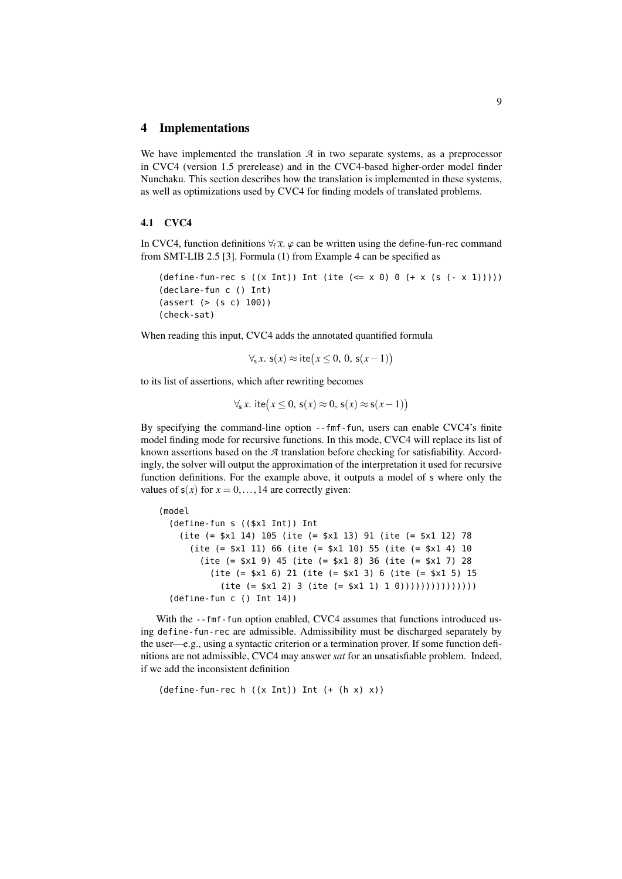#### <span id="page-8-0"></span>4 Implementations

We have implemented the translation  $A$  in two separate systems, as a preprocessor in CVC4 (version 1.5 prerelease) and in the CVC4-based higher-order model finder Nunchaku. This section describes how the translation is implemented in these systems, as well as optimizations used by CVC4 for finding models of translated problems.

### 4.1 CVC4

In CVC4, function definitions  $\forall_f \bar{x}$ .  $\varphi$  can be written using the define-fun-rec command from SMT-LIB 2.5 [\[3\]](#page-14-0). Formula [\(1\)](#page-5-1) from Example [4](#page-5-2) can be specified as

```
(\text{define-fun-rec s } ((x Int)) \text{ Int } (\text{ite } (<= x 0) 0 (+ x (s (- x 1))))))(declare-fun c () Int)
(assert (> (s c) 100))
(check-sat)
```
When reading this input, CVC4 adds the annotated quantified formula

$$
\forall_{s} x. s(x) \approx \text{ite}(x \leq 0, 0, s(x-1))
$$

to its list of assertions, which after rewriting becomes

$$
\forall_{s} x. \text{ite}(x \leq 0, s(x) \approx 0, s(x) \approx s(x-1))
$$

By specifying the command-line option --fmf-fun, users can enable CVC4's finite model finding mode for recursive functions. In this mode, CVC4 will replace its list of known assertions based on the *A* translation before checking for satisfiability. Accordingly, the solver will output the approximation of the interpretation it used for recursive function definitions. For the example above, it outputs a model of s where only the values of  $s(x)$  for  $x = 0, \ldots, 14$  are correctly given:

```
(model
 (define-fun s (($x1 Int)) Int
   (ite (= $x1 14) 105 (ite (= $x1 13) 91 (ite (= $x1 12) 78
     (ite (= $x1 11) 66 (ite (= $x1 10) 55 (ite (= $x1 4) 10
       (ite (= $x1 9) 45 (ite (= $x1 8) 36 (ite (= $x1 7) 28
         (ite (= $x1 6) 21 (ite (= $x1 3) 6 (ite (= $x1 5) 15
           (ite (= $x1 2) 3 (ite (= $x1 1) 1 0))))))))))(define-fun c () Int 14))
```
With the --fmf-fun option enabled, CVC4 assumes that functions introduced using define-fun-rec are admissible. Admissibility must be discharged separately by the user—e.g., using a syntactic criterion or a termination prover. If some function definitions are not admissible, CVC4 may answer *sat* for an unsatisfiable problem. Indeed, if we add the inconsistent definition

```
(define-time-function-rec h ((x Int)) Int (+ (h x) x))
```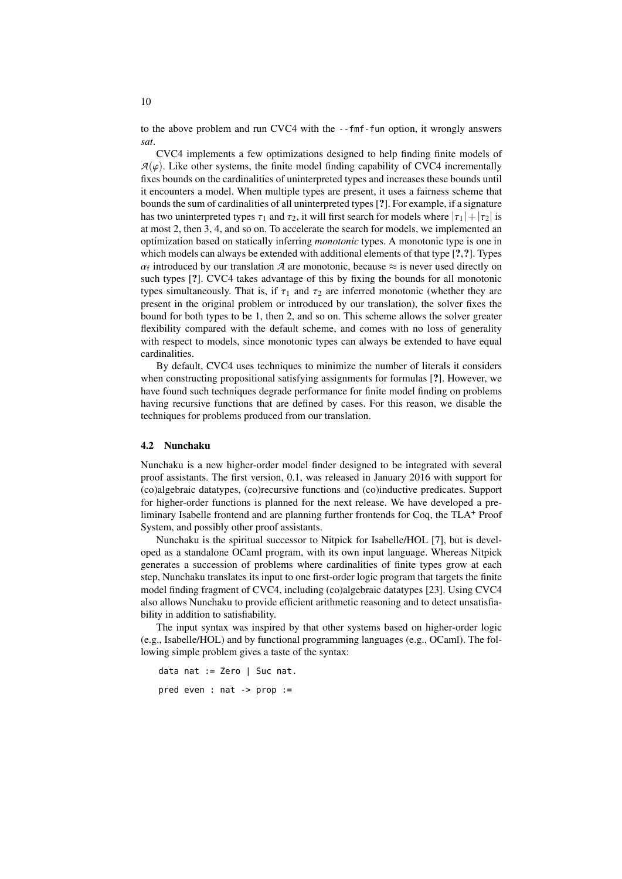to the above problem and run CVC4 with the --fmf-fun option, it wrongly answers *sat*.

CVC4 implements a few optimizations designed to help finding finite models of  $A(\varphi)$ . Like other systems, the finite model finding capability of CVC4 incrementally fixes bounds on the cardinalities of uninterpreted types and increases these bounds until it encounters a model. When multiple types are present, it uses a fairness scheme that bounds the sum of cardinalities of all uninterpreted types [?]. For example, if a signature has two uninterpreted types  $\tau_1$  and  $\tau_2$ , it will first search for models where  $|\tau_1|+|\tau_2|$  is at most 2, then 3, 4, and so on. To accelerate the search for models, we implemented an optimization based on statically inferring *monotonic* types. A monotonic type is one in which models can always be extended with additional elements of that type [?,?]. Types  $\alpha_f$  introduced by our translation  $\lambda$  are monotonic, because  $\approx$  is never used directly on such types [?]. CVC4 takes advantage of this by fixing the bounds for all monotonic  $\alpha_f$  introduced by our translation *A* are monotonic, because  $\approx$  is never used directly on types simultaneously. That is, if  $\tau_1$  and  $\tau_2$  are inferred monotonic (whether they are present in the original problem or introduced by our translation), the solver fixes the bound for both types to be 1, then 2, and so on. This scheme allows the solver greater flexibility compared with the default scheme, and comes with no loss of generality with respect to models, since monotonic types can always be extended to have equal cardinalities.

By default, CVC4 uses techniques to minimize the number of literals it considers when constructing propositional satisfying assignments for formulas [?]. However, we have found such techniques degrade performance for finite model finding on problems having recursive functions that are defined by cases. For this reason, we disable the techniques for problems produced from our translation.

#### 4.2 Nunchaku

Nunchaku is a new higher-order model finder designed to be integrated with several proof assistants. The first version, 0.1, was released in January 2016 with support for (co)algebraic datatypes, (co)recursive functions and (co)inductive predicates. Support for higher-order functions is planned for the next release. We have developed a preliminary Isabelle frontend and are planning further frontends for Coq, the TLA<sup>+</sup> Proof System, and possibly other proof assistants.

Nunchaku is the spiritual successor to Nitpick for Isabelle/HOL [\[7\]](#page-15-9), but is developed as a standalone OCaml program, with its own input language. Whereas Nitpick generates a succession of problems where cardinalities of finite types grow at each step, Nunchaku translates its input to one first-order logic program that targets the finite model finding fragment of CVC4, including (co)algebraic datatypes [\[23\]](#page-15-10). Using CVC4 also allows Nunchaku to provide efficient arithmetic reasoning and to detect unsatisfiability in addition to satisfiability.

The input syntax was inspired by that other systems based on higher-order logic (e.g., Isabelle/HOL) and by functional programming languages (e.g., OCaml). The following simple problem gives a taste of the syntax:

```
data nat := Zero | Suc nat.
pred even : nat -> prop :=
```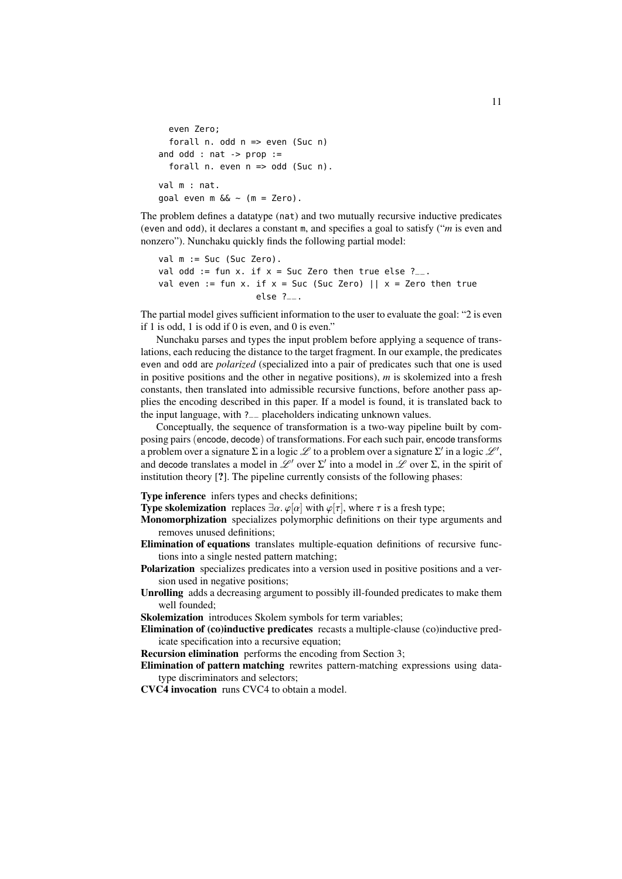```
even Zero;
  forall n. odd n => even (Suc n)
and odd : nat -> prop :=
  forall n. even n => odd (Suc n).
val m : nat.
goal even m \&< (m = Zero).
```
The problem defines a datatype (nat) and two mutually recursive inductive predicates (even and odd), it declares a constant m, and specifies a goal to satisfy ("*m* is even and nonzero"). Nunchaku quickly finds the following partial model:

```
val m := Suc (Suc Zero).
val odd := fun x. if x = Suc Zero then true else ?_{--}.
val even := fun x. if x = Suc (Suc Zero) || x = Zero then true
                   else ?__.
```
The partial model gives sufficient information to the user to evaluate the goal: "2 is even if 1 is odd, 1 is odd if 0 is even, and 0 is even."

Nunchaku parses and types the input problem before applying a sequence of translations, each reducing the distance to the target fragment. In our example, the predicates even and odd are *polarized* (specialized into a pair of predicates such that one is used in positive positions and the other in negative positions), *m* is skolemized into a fresh constants, then translated into admissible recursive functions, before another pass applies the encoding described in this paper. If a model is found, it is translated back to the input language, with ?\_\_ placeholders indicating unknown values.

Conceptually, the sequence of transformation is a two-way pipeline built by composing pairs (encode, decode) of transformations. For each such pair, encode transforms a problem over a signature  $\Sigma$  in a logic  $\mathscr L$  to a problem over a signature  $\Sigma'$  in a logic  $\mathscr L',$ and decode translates a model in  $\mathcal{L}^{\prime}$  over  $\Sigma^{\prime}$  into a model in  $\mathcal{L}$  over  $\Sigma$ , in the spirit of institution theory [?]. The pipeline currently consists of the following phases:

Type inference infers types and checks definitions;

**Type skolemization** replaces  $\exists \alpha$ .  $\varphi[\alpha]$  with  $\varphi[\tau]$ , where  $\tau$  is a fresh type;

Monomorphization specializes polymorphic definitions on their type arguments and removes unused definitions;

- Elimination of equations translates multiple-equation definitions of recursive functions into a single nested pattern matching;
- Polarization specializes predicates into a version used in positive positions and a version used in negative positions;

Unrolling adds a decreasing argument to possibly ill-founded predicates to make them well founded;

Skolemization introduces Skolem symbols for term variables;

Elimination of (co)inductive predicates recasts a multiple-clause (co)inductive predicate specification into a recursive equation;

Recursion elimination performs the encoding from Section [3;](#page-3-0)

Elimination of pattern matching rewrites pattern-matching expressions using datatype discriminators and selectors;

CVC4 invocation runs CVC4 to obtain a model.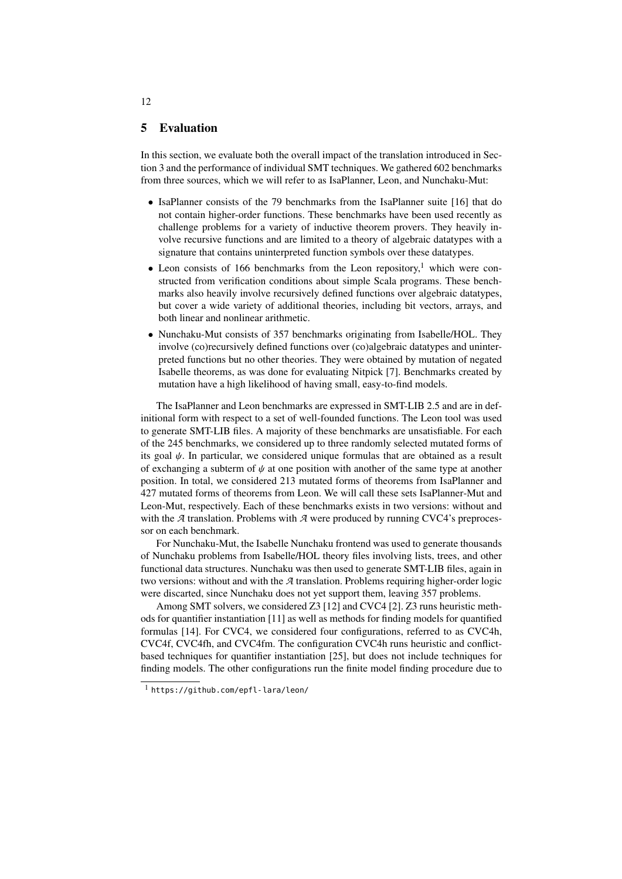### 5 Evaluation

In this section, we evaluate both the overall impact of the translation introduced in Section [3](#page-3-0) and the performance of individual SMT techniques. We gathered 602 benchmarks from three sources, which we will refer to as IsaPlanner, Leon, and Nunchaku-Mut:

- IsaPlanner consists of the 79 benchmarks from the IsaPlanner suite [\[16\]](#page-15-5) that do not contain higher-order functions. These benchmarks have been used recently as challenge problems for a variety of inductive theorem provers. They heavily involve recursive functions and are limited to a theory of algebraic datatypes with a signature that contains uninterpreted function symbols over these datatypes.
- Leon consists of [1](#page-11-0)66 benchmarks from the Leon repository,<sup>1</sup> which were constructed from verification conditions about simple Scala programs. These benchmarks also heavily involve recursively defined functions over algebraic datatypes, but cover a wide variety of additional theories, including bit vectors, arrays, and both linear and nonlinear arithmetic.
- Nunchaku-Mut consists of 357 benchmarks originating from Isabelle/HOL. They involve (co)recursively defined functions over (co)algebraic datatypes and uninterpreted functions but no other theories. They were obtained by mutation of negated Isabelle theorems, as was done for evaluating Nitpick [\[7\]](#page-15-9). Benchmarks created by mutation have a high likelihood of having small, easy-to-find models.

The IsaPlanner and Leon benchmarks are expressed in SMT-LIB 2.5 and are in definitional form with respect to a set of well-founded functions. The Leon tool was used to generate SMT-LIB files. A majority of these benchmarks are unsatisfiable. For each of the 245 benchmarks, we considered up to three randomly selected mutated forms of its goal  $\psi$ . In particular, we considered unique formulas that are obtained as a result of exchanging a subterm of  $\psi$  at one position with another of the same type at another position. In total, we considered 213 mutated forms of theorems from IsaPlanner and 427 mutated forms of theorems from Leon. We will call these sets IsaPlanner-Mut and Leon-Mut, respectively. Each of these benchmarks exists in two versions: without and with the  $A$  translation. Problems with  $A$  were produced by running CVC4's preprocessor on each benchmark.

For Nunchaku-Mut, the Isabelle Nunchaku frontend was used to generate thousands of Nunchaku problems from Isabelle/HOL theory files involving lists, trees, and other functional data structures. Nunchaku was then used to generate SMT-LIB files, again in two versions: without and with the *A* translation. Problems requiring higher-order logic were discarted, since Nunchaku does not yet support them, leaving 357 problems.

Among SMT solvers, we considered Z3 [\[12\]](#page-15-11) and CVC4 [\[2\]](#page-14-2). Z3 runs heuristic methods for quantifier instantiation [\[11\]](#page-15-0) as well as methods for finding models for quantified formulas [\[14\]](#page-15-2). For CVC4, we considered four configurations, referred to as CVC4h, CVC4f, CVC4fh, and CVC4fm. The configuration CVC4h runs heuristic and conflictbased techniques for quantifier instantiation [\[25\]](#page-15-1), but does not include techniques for finding models. The other configurations run the finite model finding procedure due to

12

<span id="page-11-0"></span><sup>1</sup> <https://github.com/epfl-lara/leon/>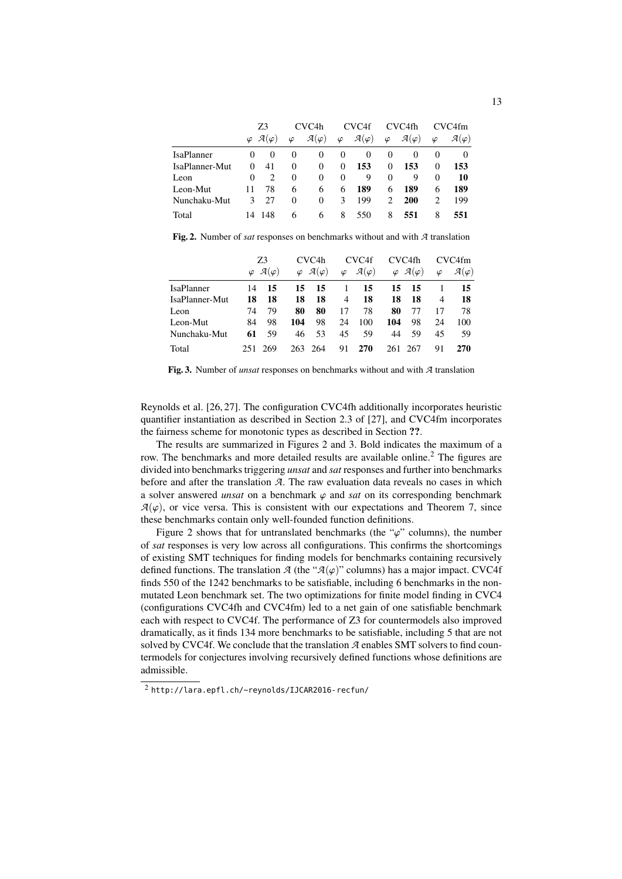|                | Z3     |                                  | CVC <sub>4</sub> h |                        | CVC <sub>4f</sub> |                        | CVC4fh    |                        | CVC4fm         |                        |
|----------------|--------|----------------------------------|--------------------|------------------------|-------------------|------------------------|-----------|------------------------|----------------|------------------------|
|                |        | $\varphi$ $\mathcal{A}(\varphi)$ | $\varphi$          | $\mathcal{A}(\varphi)$ | $\varphi$         | $\mathcal{A}(\varphi)$ | $\varphi$ | $\mathcal{A}(\varphi)$ | $\varphi$      | $\mathcal{A}(\varphi)$ |
| IsaPlanner     | $_{0}$ | $\theta$                         | $\theta$           | $\theta$               | $\theta$          | $\theta$               | $\theta$  | $\theta$               | $\theta$       | 0                      |
| IsaPlanner-Mut | 0      | 41                               | 0                  | $\Omega$               | 0                 | 153                    | $\Omega$  | 153                    | $\Omega$       | 153                    |
| Leon           | 0      | $\mathfrak{D}$                   | 0                  | 0                      | $\Omega$          | 9                      | 0         | 9                      | $\Omega$       | 10                     |
| Leon-Mut       | 11     | 78                               | 6                  | 6                      | 6                 | 189                    | 6         | 189                    | 6              | 189                    |
| Nunchaku-Mut   | 3      | 27                               | 0                  | 0                      | 3                 | 199                    | 2         | <b>200</b>             | $\mathfrak{D}$ | 199                    |
| Total          |        | 14 148                           | 6                  | 6                      | 8                 | 550                    | 8         | 551                    | 8              | 551                    |

<span id="page-12-0"></span>Fig. 2. Number of *sat* responses on benchmarks without and with *A* translation

|                   | Z3        |                        | CVC <sub>4</sub> h |                        | CVC4f     |                        | CVC4fh |                                  | CVC4fm    |                        |
|-------------------|-----------|------------------------|--------------------|------------------------|-----------|------------------------|--------|----------------------------------|-----------|------------------------|
|                   | $\varphi$ | $\mathcal{A}(\varphi)$ | $\varphi$          | $\mathcal{A}(\varphi)$ | $\varphi$ | $\mathcal{A}(\varphi)$ |        | $\varphi$ $\mathcal{A}(\varphi)$ | $\varphi$ | $\mathcal{A}(\varphi)$ |
| <b>IsaPlanner</b> | 14        | 15                     | 15                 | -15                    |           | 15                     | 15     | -15                              |           | 15                     |
| IsaPlanner-Mut    | 18        | 18                     | 18                 | 18                     | 4         | 18                     | 18     | 18                               | 4         | 18                     |
| Leon              | 74        | 79                     | 80                 | 80                     | 17        | 78                     | 80     | 77                               | 17        | 78                     |
| Leon-Mut          | 84        | 98                     | 104                | 98                     | 24        | 100                    | 104    | 98                               | 24        | 100                    |
| Nunchaku-Mut      | 61        | 59                     | 46                 | 53                     | 45        | 59                     | 44     | 59                               | 45        | 59                     |
| Total             |           | 269                    |                    | 263 264                | 91        | 270                    | 261    | 267                              | 91        | <b>270</b>             |

<span id="page-12-1"></span>Fig. 3. Number of *unsat* responses on benchmarks without and with *A* translation

Reynolds et al. [\[26,](#page-15-3) [27\]](#page-15-4). The configuration CVC4fh additionally incorporates heuristic quantifier instantiation as described in Section 2.3 of [\[27\]](#page-15-4), and CVC4fm incorporates the fairness scheme for monotonic types as described in Section ??.

The results are summarized in Figures [2](#page-12-0) and [3.](#page-12-1) Bold indicates the maximum of a row. The benchmarks and more detailed results are available online.<sup>[2](#page-12-2)</sup> The figures are divided into benchmarks triggering *unsat* and *sat* responses and further into benchmarks before and after the translation *A*. The raw evaluation data reveals no cases in which a solver answered *unsat* on a benchmark  $\varphi$  and *sat* on its corresponding benchmark  $A(\varphi)$ , or vice versa. This is consistent with our expectations and Theorem [7,](#page-6-2) since these benchmarks contain only well-founded function definitions.

Figure [2](#page-12-0) shows that for untranslated benchmarks (the " $\varphi$ " columns), the number of *sat* responses is very low across all configurations. This confirms the shortcomings of existing SMT techniques for finding models for benchmarks containing recursively defined functions. The translation  $\mathcal{A}$  (the " $\mathcal{A}(\varphi)$ " columns) has a major impact. CVC4f finds 550 of the 1242 benchmarks to be satisfiable, including 6 benchmarks in the nonmutated Leon benchmark set. The two optimizations for finite model finding in CVC4 (configurations CVC4fh and CVC4fm) led to a net gain of one satisfiable benchmark each with respect to CVC4f. The performance of Z3 for countermodels also improved dramatically, as it finds 134 more benchmarks to be satisfiable, including 5 that are not solved by CVC4f. We conclude that the translation *A* enables SMT solvers to find countermodels for conjectures involving recursively defined functions whose definitions are admissible.

<span id="page-12-2"></span><sup>2</sup> <http://lara.epfl.ch/~reynolds/IJCAR2016-recfun/>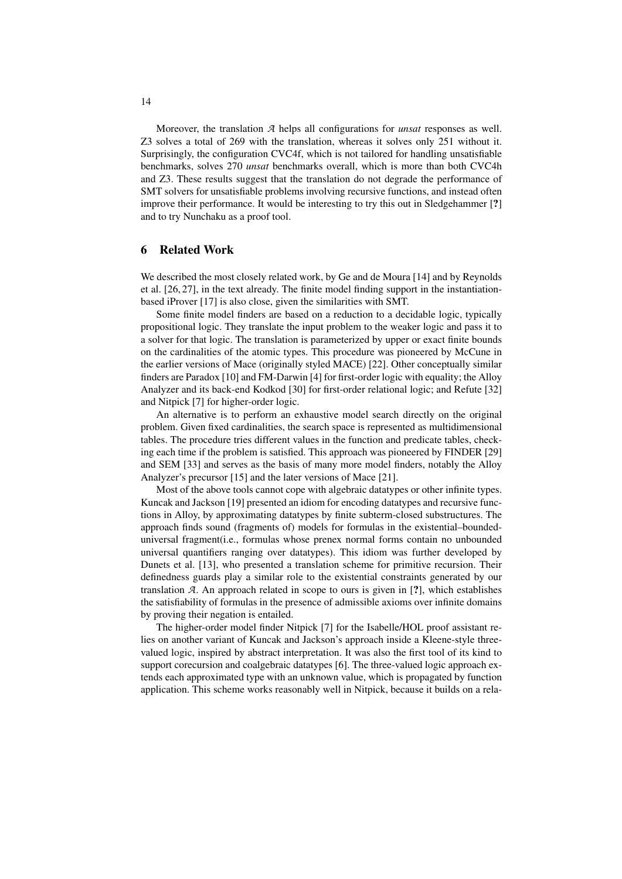Moreover, the translation *A* helps all configurations for *unsat* responses as well. Z3 solves a total of 269 with the translation, whereas it solves only 251 without it. Surprisingly, the configuration CVC4f, which is not tailored for handling unsatisfiable benchmarks, solves 270 *unsat* benchmarks overall, which is more than both CVC4h and Z3. These results suggest that the translation do not degrade the performance of SMT solvers for unsatisfiable problems involving recursive functions, and instead often improve their performance. It would be interesting to try this out in Sledgehammer [?] and to try Nunchaku as a proof tool.

# 6 Related Work

We described the most closely related work, by Ge and de Moura [\[14\]](#page-15-2) and by Reynolds et al. [\[26,](#page-15-3) [27\]](#page-15-4), in the text already. The finite model finding support in the instantiationbased iProver [\[17\]](#page-15-12) is also close, given the similarities with SMT.

Some finite model finders are based on a reduction to a decidable logic, typically propositional logic. They translate the input problem to the weaker logic and pass it to a solver for that logic. The translation is parameterized by upper or exact finite bounds on the cardinalities of the atomic types. This procedure was pioneered by McCune in the earlier versions of Mace (originally styled MACE) [\[22\]](#page-15-13). Other conceptually similar finders are Paradox [\[10\]](#page-15-14) and FM-Darwin [\[4\]](#page-15-15) for first-order logic with equality; the Alloy Analyzer and its back-end Kodkod [\[30\]](#page-16-1) for first-order relational logic; and Refute [\[32\]](#page-16-2) and Nitpick [\[7\]](#page-15-9) for higher-order logic.

An alternative is to perform an exhaustive model search directly on the original problem. Given fixed cardinalities, the search space is represented as multidimensional tables. The procedure tries different values in the function and predicate tables, checking each time if the problem is satisfied. This approach was pioneered by FINDER [\[29\]](#page-16-3) and SEM [\[33\]](#page-16-4) and serves as the basis of many more model finders, notably the Alloy Analyzer's precursor [\[15\]](#page-15-16) and the later versions of Mace [\[21\]](#page-15-17).

Most of the above tools cannot cope with algebraic datatypes or other infinite types. Kuncak and Jackson [\[19\]](#page-15-18) presented an idiom for encoding datatypes and recursive functions in Alloy, by approximating datatypes by finite subterm-closed substructures. The approach finds sound (fragments of) models for formulas in the existential–boundeduniversal fragment(i.e., formulas whose prenex normal forms contain no unbounded universal quantifiers ranging over datatypes). This idiom was further developed by Dunets et al. [\[13\]](#page-15-19), who presented a translation scheme for primitive recursion. Their definedness guards play a similar role to the existential constraints generated by our translation *A*. An approach related in scope to ours is given in [?], which establishes the satisfiability of formulas in the presence of admissible axioms over infinite domains by proving their negation is entailed.

The higher-order model finder Nitpick [\[7\]](#page-15-9) for the Isabelle/HOL proof assistant relies on another variant of Kuncak and Jackson's approach inside a Kleene-style threevalued logic, inspired by abstract interpretation. It was also the first tool of its kind to support corecursion and coalgebraic datatypes [\[6\]](#page-15-20). The three-valued logic approach extends each approximated type with an unknown value, which is propagated by function application. This scheme works reasonably well in Nitpick, because it builds on a rela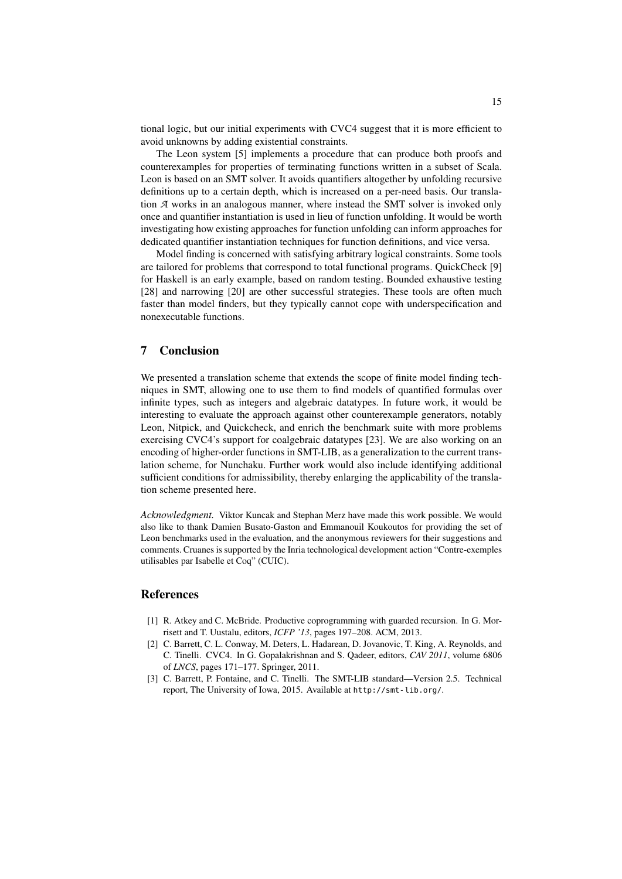tional logic, but our initial experiments with CVC4 suggest that it is more efficient to avoid unknowns by adding existential constraints.

The Leon system [\[5\]](#page-15-6) implements a procedure that can produce both proofs and counterexamples for properties of terminating functions written in a subset of Scala. Leon is based on an SMT solver. It avoids quantifiers altogether by unfolding recursive definitions up to a certain depth, which is increased on a per-need basis. Our translation *A* works in an analogous manner, where instead the SMT solver is invoked only once and quantifier instantiation is used in lieu of function unfolding. It would be worth investigating how existing approaches for function unfolding can inform approaches for dedicated quantifier instantiation techniques for function definitions, and vice versa.

Model finding is concerned with satisfying arbitrary logical constraints. Some tools are tailored for problems that correspond to total functional programs. QuickCheck [\[9\]](#page-15-21) for Haskell is an early example, based on random testing. Bounded exhaustive testing [\[28\]](#page-16-5) and narrowing [\[20\]](#page-15-22) are other successful strategies. These tools are often much faster than model finders, but they typically cannot cope with underspecification and nonexecutable functions.

# 7 Conclusion

We presented a translation scheme that extends the scope of finite model finding techniques in SMT, allowing one to use them to find models of quantified formulas over infinite types, such as integers and algebraic datatypes. In future work, it would be interesting to evaluate the approach against other counterexample generators, notably Leon, Nitpick, and Quickcheck, and enrich the benchmark suite with more problems exercising CVC4's support for coalgebraic datatypes [\[23\]](#page-15-10). We are also working on an encoding of higher-order functions in SMT-LIB, as a generalization to the current translation scheme, for Nunchaku. Further work would also include identifying additional sufficient conditions for admissibility, thereby enlarging the applicability of the translation scheme presented here.

*Acknowledgment.* Viktor Kuncak and Stephan Merz have made this work possible. We would also like to thank Damien Busato-Gaston and Emmanouil Koukoutos for providing the set of Leon benchmarks used in the evaluation, and the anonymous reviewers for their suggestions and comments. Cruanes is supported by the Inria technological development action "Contre-exemples utilisables par Isabelle et Coq" (CUIC).

### References

- <span id="page-14-1"></span>[1] R. Atkey and C. McBride. Productive coprogramming with guarded recursion. In G. Morrisett and T. Uustalu, editors, *ICFP '13*, pages 197–208. ACM, 2013.
- <span id="page-14-2"></span>[2] C. Barrett, C. L. Conway, M. Deters, L. Hadarean, D. Jovanovic, T. King, A. Reynolds, and C. Tinelli. CVC4. In G. Gopalakrishnan and S. Qadeer, editors, *CAV 2011*, volume 6806 of *LNCS*, pages 171–177. Springer, 2011.
- <span id="page-14-0"></span>[3] C. Barrett, P. Fontaine, and C. Tinelli. The SMT-LIB standard—Version 2.5. Technical report, The University of Iowa, 2015. Available at <http://smt-lib.org/>.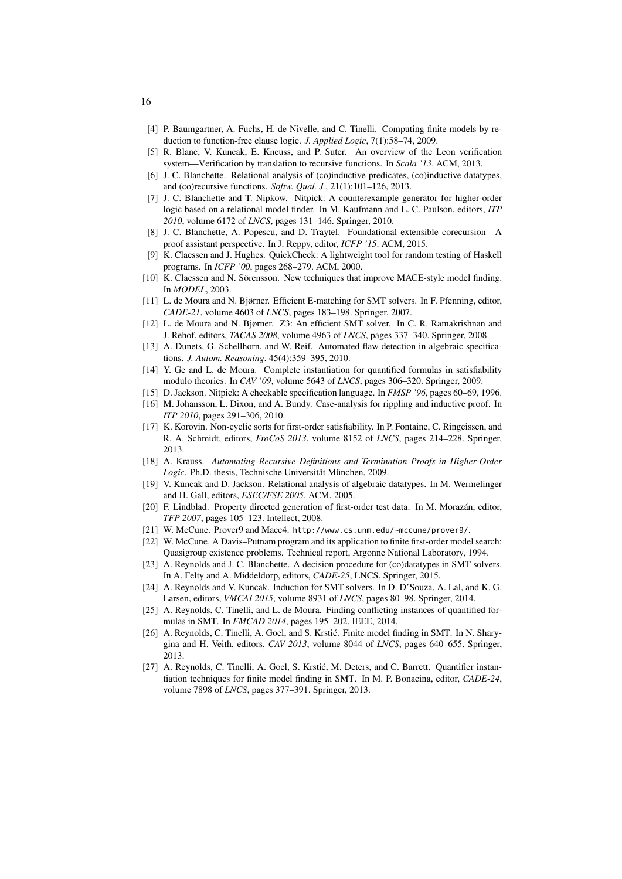- <span id="page-15-15"></span>[4] P. Baumgartner, A. Fuchs, H. de Nivelle, and C. Tinelli. Computing finite models by reduction to function-free clause logic. *J. Applied Logic*, 7(1):58–74, 2009.
- <span id="page-15-6"></span>[5] R. Blanc, V. Kuncak, E. Kneuss, and P. Suter. An overview of the Leon verification system—Verification by translation to recursive functions. In *Scala '13*. ACM, 2013.
- <span id="page-15-20"></span>[6] J. C. Blanchette. Relational analysis of (co)inductive predicates, (co)inductive datatypes, and (co)recursive functions. *Softw. Qual. J.*, 21(1):101–126, 2013.
- <span id="page-15-9"></span>[7] J. C. Blanchette and T. Nipkow. Nitpick: A counterexample generator for higher-order logic based on a relational model finder. In M. Kaufmann and L. C. Paulson, editors, *ITP 2010*, volume 6172 of *LNCS*, pages 131–146. Springer, 2010.
- <span id="page-15-8"></span>[8] J. C. Blanchette, A. Popescu, and D. Traytel. Foundational extensible corecursion—A proof assistant perspective. In J. Reppy, editor, *ICFP '15*. ACM, 2015.
- <span id="page-15-21"></span>[9] K. Claessen and J. Hughes. QuickCheck: A lightweight tool for random testing of Haskell programs. In *ICFP '00*, pages 268–279. ACM, 2000.
- <span id="page-15-14"></span>[10] K. Claessen and N. Sörensson. New techniques that improve MACE-style model finding. In *MODEL*, 2003.
- <span id="page-15-0"></span>[11] L. de Moura and N. Bjørner. Efficient E-matching for SMT solvers. In F. Pfenning, editor, *CADE-21*, volume 4603 of *LNCS*, pages 183–198. Springer, 2007.
- <span id="page-15-11"></span>[12] L. de Moura and N. Bjørner. Z3: An efficient SMT solver. In C. R. Ramakrishnan and J. Rehof, editors, *TACAS 2008*, volume 4963 of *LNCS*, pages 337–340. Springer, 2008.
- <span id="page-15-19"></span>[13] A. Dunets, G. Schellhorn, and W. Reif. Automated flaw detection in algebraic specifications. *J. Autom. Reasoning*, 45(4):359–395, 2010.
- <span id="page-15-2"></span>[14] Y. Ge and L. de Moura. Complete instantiation for quantified formulas in satisfiability modulo theories. In *CAV '09*, volume 5643 of *LNCS*, pages 306–320. Springer, 2009.
- <span id="page-15-16"></span>[15] D. Jackson. Nitpick: A checkable specification language. In *FMSP '96*, pages 60–69, 1996.
- <span id="page-15-5"></span>[16] M. Johansson, L. Dixon, and A. Bundy. Case-analysis for rippling and inductive proof. In *ITP 2010*, pages 291–306, 2010.
- <span id="page-15-12"></span>[17] K. Korovin. Non-cyclic sorts for first-order satisfiability. In P. Fontaine, C. Ringeissen, and R. A. Schmidt, editors, *FroCoS 2013*, volume 8152 of *LNCS*, pages 214–228. Springer, 2013.
- <span id="page-15-7"></span>[18] A. Krauss. *Automating Recursive Definitions and Termination Proofs in Higher-Order Logic*. Ph.D. thesis, Technische Universität München, 2009.
- <span id="page-15-18"></span>[19] V. Kuncak and D. Jackson. Relational analysis of algebraic datatypes. In M. Wermelinger and H. Gall, editors, *ESEC/FSE 2005*. ACM, 2005.
- <span id="page-15-22"></span>[20] F. Lindblad. Property directed generation of first-order test data. In M. Morazán, editor, *TFP 2007*, pages 105–123. Intellect, 2008.
- <span id="page-15-17"></span>[21] W. McCune. Prover9 and Mace4. <http://www.cs.unm.edu/~mccune/prover9/>.
- <span id="page-15-13"></span>[22] W. McCune. A Davis–Putnam program and its application to finite first-order model search: Quasigroup existence problems. Technical report, Argonne National Laboratory, 1994.
- <span id="page-15-10"></span>[23] A. Reynolds and J. C. Blanchette. A decision procedure for (co)datatypes in SMT solvers. In A. Felty and A. Middeldorp, editors, *CADE-25*, LNCS. Springer, 2015.
- [24] A. Reynolds and V. Kuncak. Induction for SMT solvers. In D. D'Souza, A. Lal, and K. G. Larsen, editors, *VMCAI 2015*, volume 8931 of *LNCS*, pages 80–98. Springer, 2014.
- <span id="page-15-1"></span>[25] A. Reynolds, C. Tinelli, and L. de Moura. Finding conflicting instances of quantified formulas in SMT. In *FMCAD 2014*, pages 195–202. IEEE, 2014.
- <span id="page-15-3"></span>[26] A. Reynolds, C. Tinelli, A. Goel, and S. Krstić. Finite model finding in SMT. In N. Sharygina and H. Veith, editors, *CAV 2013*, volume 8044 of *LNCS*, pages 640–655. Springer, 2013.
- <span id="page-15-4"></span>[27] A. Reynolds, C. Tinelli, A. Goel, S. Krstić, M. Deters, and C. Barrett. Quantifier instantiation techniques for finite model finding in SMT. In M. P. Bonacina, editor, *CADE-24*, volume 7898 of *LNCS*, pages 377–391. Springer, 2013.

16